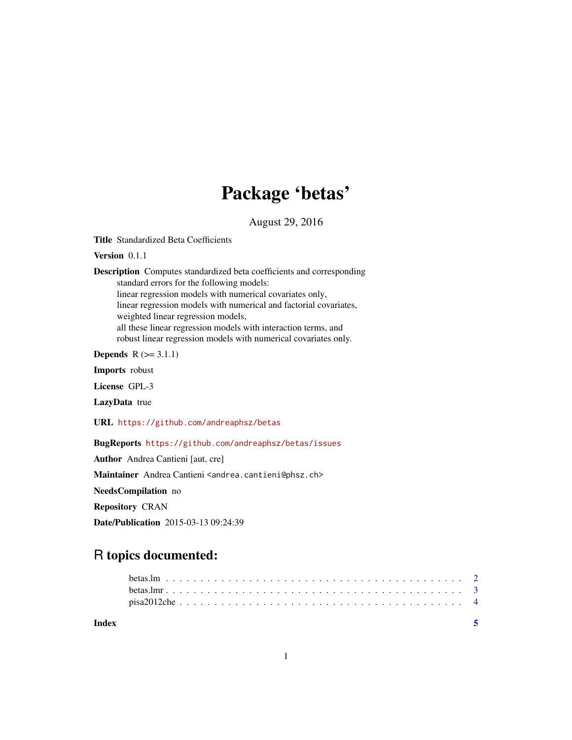## Package 'betas'

August 29, 2016

Title Standardized Beta Coefficients

Version 0.1.1

Description Computes standardized beta coefficients and corresponding standard errors for the following models: linear regression models with numerical covariates only, linear regression models with numerical and factorial covariates, weighted linear regression models, all these linear regression models with interaction terms, and robust linear regression models with numerical covariates only.

**Depends**  $R$  ( $>= 3.1.1$ )

Imports robust

License GPL-3

LazyData true

URL <https://github.com/andreaphsz/betas>

BugReports <https://github.com/andreaphsz/betas/issues>

Author Andrea Cantieni [aut, cre]

Maintainer Andrea Cantieni <andrea.cantieni@phsz.ch>

NeedsCompilation no

Repository CRAN

Date/Publication 2015-03-13 09:24:39

### R topics documented:

| Index |  |  |  |  |  |  |  |  |  |  |  |  |  |  |  |  |  |  |  |  |
|-------|--|--|--|--|--|--|--|--|--|--|--|--|--|--|--|--|--|--|--|--|
|       |  |  |  |  |  |  |  |  |  |  |  |  |  |  |  |  |  |  |  |  |
|       |  |  |  |  |  |  |  |  |  |  |  |  |  |  |  |  |  |  |  |  |
|       |  |  |  |  |  |  |  |  |  |  |  |  |  |  |  |  |  |  |  |  |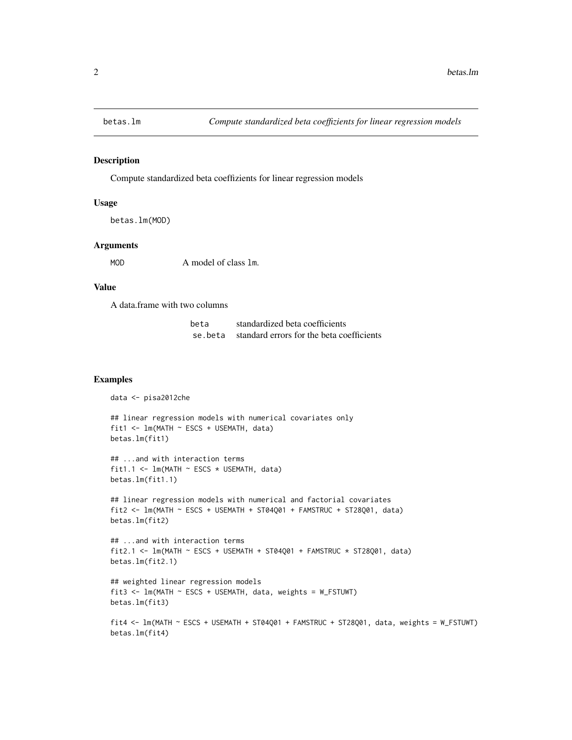<span id="page-1-0"></span>

#### Description

Compute standardized beta coeffizients for linear regression models

#### Usage

```
betas.lm(MOD)
```
#### Arguments

MOD A model of class 1m.

#### Value

A data.frame with two columns

| beta | standardized beta coefficients                     |
|------|----------------------------------------------------|
|      | se, beta standard errors for the beta coefficients |

#### Examples

```
data <- pisa2012che
## linear regression models with numerical covariates only
fit1 <- lm(MATH ~ ESCS + USEMATH, data)
betas.lm(fit1)
## ...and with interaction terms
fit1.1 <- lm(MATH \sim ESCS \times USEMATH, data)
betas.lm(fit1.1)
## linear regression models with numerical and factorial covariates
fit2 <- lm(MATH ~ ESCS + USEMATH + ST04Q01 + FAMSTRUC + ST28Q01, data)
betas.lm(fit2)
## ...and with interaction terms
fit2.1 <- lm(MATH ~ ESCS + USEMATH + ST04Q01 + FAMSTRUC * ST28Q01, data)
betas.lm(fit2.1)
```

```
## weighted linear regression models
fit3 <- lm(MATH ~ ESCS + USEMATH, data, weights = W_FSTUWT)
betas.lm(fit3)
```

```
fit4 <- lm(MATH ~ ESCS + USEMATH + ST04Q01 + FAMSTRUC + ST28Q01, data, weights = W_FSTUWT)
betas.lm(fit4)
```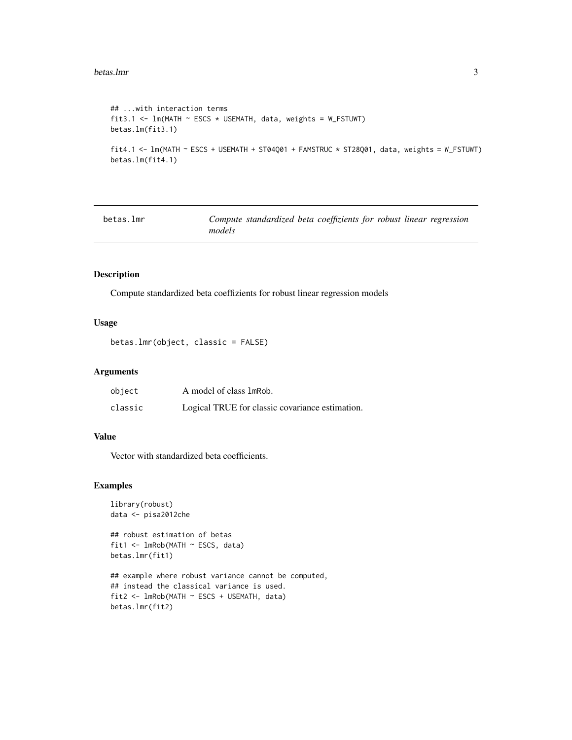#### <span id="page-2-0"></span>betas.lmr 3

```
## ...with interaction terms
fit3.1 <- lm(MATH \sim ESCS \times USEMATH, data, weights = W_FSTUWT)
betas.lm(fit3.1)
fit4.1 <- lm(MATH ~ ESCS + USEMATH + ST04Q01 + FAMSTRUC * ST28Q01, data, weights = W_FSTUWT)
betas.lm(fit4.1)
```

| betas.lmr |        | Compute standardized beta coeffizients for robust linear regression |  |  |  |
|-----------|--------|---------------------------------------------------------------------|--|--|--|
|           | models |                                                                     |  |  |  |

#### Description

Compute standardized beta coeffizients for robust linear regression models

#### Usage

```
betas.lmr(object, classic = FALSE)
```
#### Arguments

| object  | A model of class 1mRob.                         |
|---------|-------------------------------------------------|
| classic | Logical TRUE for classic covariance estimation. |

#### Value

Vector with standardized beta coefficients.

#### Examples

```
library(robust)
data <- pisa2012che
```

```
## robust estimation of betas
fit1 <- lmRob(MATH ~ ESCS, data)
betas.lmr(fit1)
```

```
## example where robust variance cannot be computed,
## instead the classical variance is used.
fit2 <- lmRob(MATH ~ ESCS + USEMATH, data)
betas.lmr(fit2)
```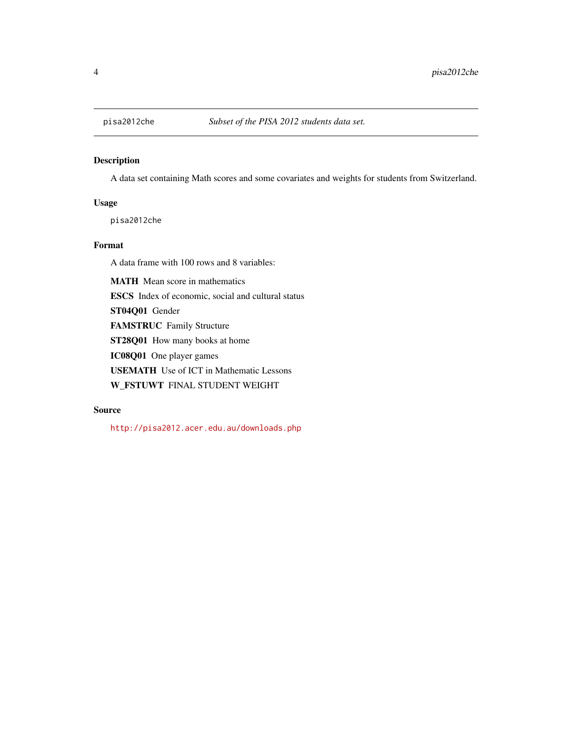<span id="page-3-0"></span>

#### Description

A data set containing Math scores and some covariates and weights for students from Switzerland.

#### Usage

pisa2012che

#### Format

A data frame with 100 rows and 8 variables:

MATH Mean score in mathematics

ESCS Index of economic, social and cultural status

ST04Q01 Gender

FAMSTRUC Family Structure

ST28Q01 How many books at home

IC08Q01 One player games

USEMATH Use of ICT in Mathematic Lessons

W\_FSTUWT FINAL STUDENT WEIGHT

#### Source

<http://pisa2012.acer.edu.au/downloads.php>